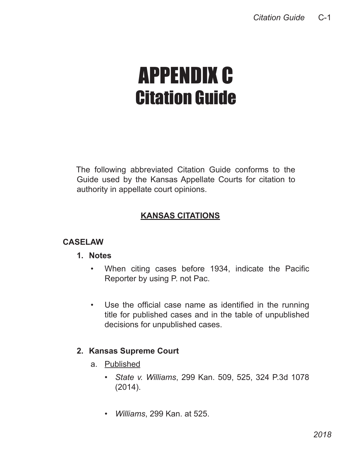# APPENDIX C Citation Guide

The following abbreviated Citation Guide conforms to the Guide used by the Kansas Appellate Courts for citation to authority in appellate court opinions.

## **KANSAS CITATIONS**

## **CASELAW**

#### **1. Notes**

- • When citing cases before 1934, indicate the Pacific Reporter by using P. not Pac.
- • Use the official case name as identified in the running title for published cases and in the table of unpublished decisions for unpublished cases.

## **2. Kansas Supreme Court**

- a. Published
	- *State v. Williams*, 299 Kan. 509, 525, 324 P.3d 1078 (2014).
	- *Williams*, 299 Kan. at 525.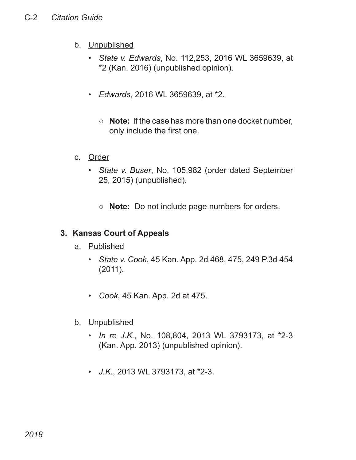- b. Unpublished
	- *State v. Edwards*, No. 112,253, 2016 WL 3659639, at \*2 (Kan. 2016) (unpublished opinion).
	- *Edwards*, 2016 WL 3659639, at \*2.
		- **Note:** If the case has more than one docket number, only include the first one.
- c. Order
	- *State v. Buser*, No. 105,982 (order dated September 25, 2015) (unpublished).
		- **Note:** Do not include page numbers for orders.

## **3. Kansas Court of Appeals**

- a. Published
	- *State v. Cook*, 45 Kan. App. 2d 468, 475, 249 P.3d 454 (2011).
	- *Cook*, 45 Kan. App. 2d at 475.
- b. Unpublished
	- *In re J.K.*, No. 108,804, 2013 WL 3793173, at \*2-3 (Kan. App. 2013) (unpublished opinion).
	- *J.K.*, 2013 WL 3793173, at \*2-3.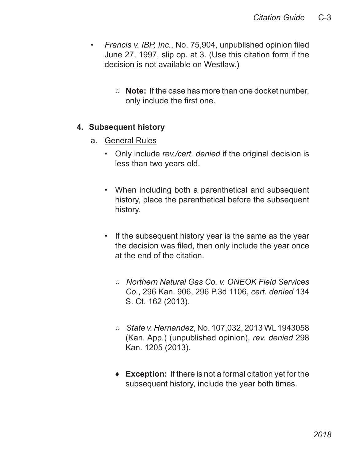- *Francis v. IBP, Inc.*, No. 75,904, unpublished opinion filed June 27, 1997, slip op. at 3. (Use this citation form if the decision is not available on Westlaw.)
	- **Note:** If the case has more than one docket number, only include the first one.

#### **4. Subsequent history**

- a. General Rules
	- Only include *rev./cert. denied* if the original decision is less than two years old.
	- When including both a parenthetical and subsequent history, place the parenthetical before the subsequent history.
	- If the subsequent history year is the same as the year the decision was filed, then only include the year once at the end of the citation.
		- Northern Natural Gas Co. v. ONEOK Field Services *Co.*, 296 Kan. 906, 296 P.3d 1106, *cert. denied* 134 S. Ct. 162 (2013).
		- *State v. Hernandez*, No. 107,032, 2013 WL 1943058 (Kan. App.) (unpublished opinion), *rev. denied* 298 Kan. 1205 (2013).
		- **Exception:** If there is not a formal citation yet for the ♦subsequent history, include the year both times.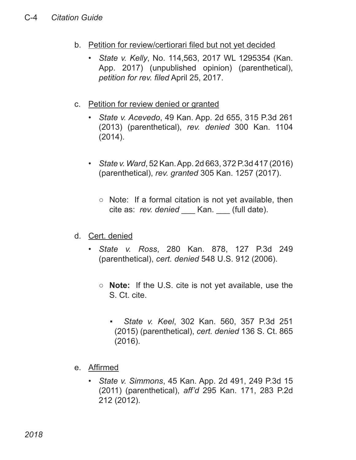- b. Petition for review/certiorari filed but not yet decided
	- *State v. Kelly*, No. 114,563, 2017 WL 1295354 (Kan. App. 2017) (unpublished opinion) (parenthetical), *petition for rev. filed* April 25, 2017.
- c. Petition for review denied or granted
	- *State v. Acevedo*, 49 Kan. App. 2d 655, 315 P.3d 261 (2013) (parenthetical), *rev. denied* 300 Kan. 1104 (2014).
	- *State v. Ward*, 52 Kan. App. 2d 663, 372 P.3d 417 (2016) (parenthetical), *rev. granted* 305 Kan. 1257 (2017).
		- Note: If a formal citation is not yet available, then cite as: *rev. denied* \_\_\_ Kan. \_\_\_ (full date).
- d. Cert. denied
	- *State v. Ross*, 280 Kan. 878, 127 P.3d 249 (parenthetical), *cert. denied* 548 U.S. 912 (2006).
		- **Note:** If the U.S. cite is not yet available, use the S. Ct. cite.
			- *State v. Keel*, 302 Kan. 560, 357 P.3d 251 (2015) (parenthetical), *cert. denied* 136 S. Ct. 865 (2016). ▪
- e. Affirmed
	- *State v. Simmons*, 45 Kan. App. 2d 491, 249 P.3d 15 (2011) (parenthetical), *aff'd* 295 Kan. 171, 283 P.2d 212 (2012).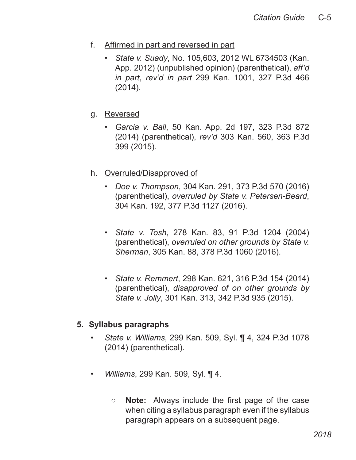- f. Affirmed in part and reversed in part
	- *State v. Suady*, No. 105,603, 2012 WL 6734503 (Kan. App. 2012) (unpublished opinion) (parenthetical), *aff'd in part*, *rev'd in part* 299 Kan. 1001, 327 P.3d 466 (2014).
- g. Reversed
	- *Garcia v. Ball*, 50 Kan. App. 2d 197, 323 P.3d 872 (2014) (parenthetical), *rev'd* 303 Kan. 560, 363 P.3d 399 (2015).
- h. Overruled/Disapproved of
	- *Doe v. Thompson*, 304 Kan. 291, 373 P.3d 570 (2016) (parenthetical), *overruled by State v. Petersen-Beard*, 304 Kan. 192, 377 P.3d 1127 (2016).
	- *State v. Tosh*, 278 Kan. 83, 91 P.3d 1204 (2004) (parenthetical), *overruled on other grounds by State v. Sherman*, 305 Kan. 88, 378 P.3d 1060 (2016).
	- *State v. Remmert*, 298 Kan. 621, 316 P.3d 154 (2014) (parenthetical), *disapproved of on other grounds by State v. Jolly*, 301 Kan. 313, 342 P.3d 935 (2015).

#### **5. Syllabus paragraphs**

- *State v. Williams*, 299 Kan. 509, Syl. ¶ 4, 324 P.3d 1078 (2014) (parenthetical).
- *Williams*, 299 Kan. 509, Syl. ¶ 4.
	- **Note:** Always include the first page of the case when citing a syllabus paragraph even if the syllabus paragraph appears on a subsequent page.  $\circ$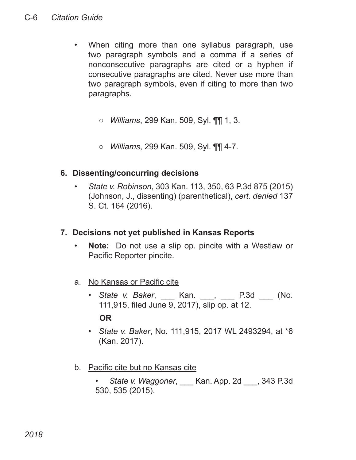- When citing more than one syllabus paragraph, use two paragraph symbols and a comma if a series of nonconsecutive paragraphs are cited or a hyphen if consecutive paragraphs are cited. Never use more than two paragraph symbols, even if citing to more than two paragraphs.
	- *Williams*, 299 Kan. 509, Syl. ¶¶ 1, 3.
	- *Williams*, 299 Kan. 509, Syl. ¶¶ 4-7.

#### **6. Dissenting/concurring decisions**

• *State v. Robinson*, 303 Kan. 113, 350, 63 P.3d 875 (2015) (Johnson, J., dissenting) (parenthetical), *cert. denied* 137 S. Ct. 164 (2016).

#### **7. Decisions not yet published in Kansas Reports**

- **Note:** Do not use a slip op. pincite with a Westlaw or Pacific Reporter pincite.
- a. No Kansas or Pacific cite
	- *State v. Baker*, \_\_\_ Kan. \_\_\_, \_\_\_ P.3d \_\_\_ (No. 111,915, filed June 9, 2017), slip op. at 12. **OR**
	- *State v. Baker*, No. 111,915, 2017 WL 2493294, at \*6 (Kan. 2017).
- b. Pacific cite but no Kansas cite
	- *State v. Waggoner*, \_\_\_ Kan. App. 2d \_\_\_, 343 P.3d 530, 535 (2015).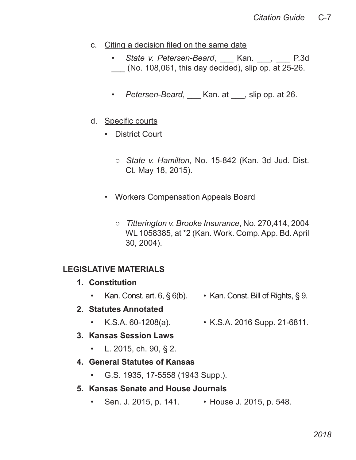- c. Citing a decision filed on the same date
	- State v. Petersen-Beard, Kan. , P.3d (No. 108,061, this day decided), slip op. at  $25-26$ .
	- *Petersen-Beard*, \_\_\_ Kan. at \_\_\_, slip op. at 26.
- d. Specific courts
	- District Court
		- *State v. Hamilton*, No. 15-842 (Kan. 3d Jud. Dist. Ct. May 18, 2015).
	- Workers Compensation Appeals Board
		- *Titterington v. Brooke Insurance*, No. 270,414, 2004 WL 1058385, at \*2 (Kan. Work. Comp. App. Bd. April 30, 2004).

#### **LEGISLATIVE MATERIALS**

- **1. Constitution**
	- Kan. Const. art.  $6, \S 6(b)$ . Kan. Const. Bill of Rights,  $\S 9$ .

#### **2. Statutes Annotated**

- K.S.A. 60-1208(a). K.S.A. 2016 Supp. 21-6811.
- **3. Kansas Session Laws**
	- L. 2015, ch. 90, § 2.

#### **4. General Statutes of Kansas**

• G.S. 1935, 17-5558 (1943 Supp.).

#### **5. Kansas Senate and House Journals**

• Sen. J. 2015, p. 141. • House J. 2015, p. 548.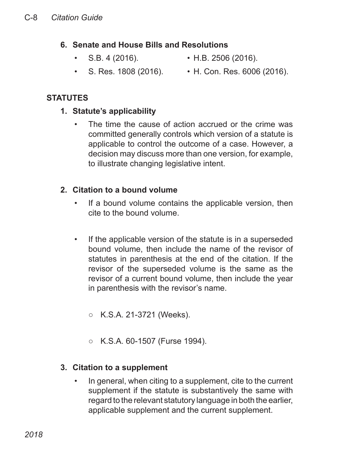#### **6. Senate and House Bills and Resolutions**

- 
- S.B. 4 (2016). H.B. 2506 (2016).
- 
- S. Res. 1808 (2016). H. Con. Res. 6006 (2016).

## **STATUTES**

#### **1. Statute's applicability**

The time the cause of action accrued or the crime was committed generally controls which version of a statute is applicable to control the outcome of a case. However, a decision may discuss more than one version, for example, to illustrate changing legislative intent.

## **2. Citation to a bound volume**

- If a bound volume contains the applicable version, then cite to the bound volume.
- If the applicable version of the statute is in a superseded bound volume, then include the name of the revisor of statutes in parenthesis at the end of the citation. If the revisor of the superseded volume is the same as the revisor of a current bound volume, then include the year in parenthesis with the revisor's name.
	- K.S.A. 21-3721 (Weeks).
	- K.S.A. 60-1507 (Furse 1994).

#### **3. Citation to a supplement**

• In general, when citing to a supplement, cite to the current supplement if the statute is substantively the same with regard to the relevant statutory language in both the earlier, applicable supplement and the current supplement.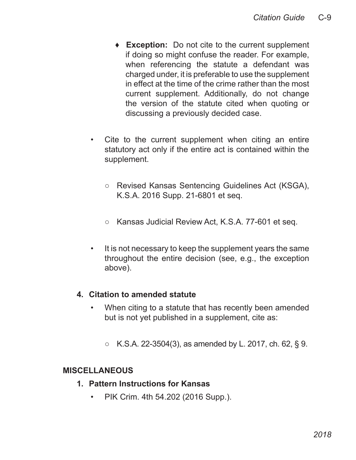- **Exception:** Do not cite to the current supplement ♦ if doing so might confuse the reader. For example, when referencing the statute a defendant was charged under, it is preferable to use the supplement in effect at the time of the crime rather than the most current supplement. Additionally, do not change the version of the statute cited when quoting or discussing a previously decided case.
- Cite to the current supplement when citing an entire statutory act only if the entire act is contained within the supplement.
	- Revised Kansas Sentencing Guidelines Act (KSGA), K.S.A. 2016 Supp. 21-6801 et seq.
	- Kansas Judicial Review Act, K.S.A. 77-601 et seq.
- It is not necessary to keep the supplement years the same throughout the entire decision (see, e.g., the exception above).

#### **4. Citation to amended statute**

- When citing to a statute that has recently been amended but is not yet published in a supplement, cite as:
	- $\circ$  K.S.A. 22-3504(3), as amended by L. 2017, ch. 62, § 9.

#### **MISCELLANEOUS**

- **1. Pattern Instructions for Kansas**
	- PIK Crim. 4th 54.202 (2016 Supp.).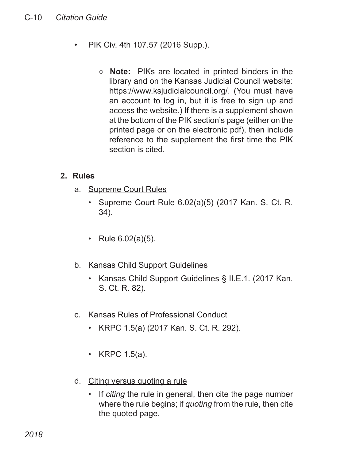- PIK Civ. 4th 107.57 (2016 Supp.).
	- **Note:** PIKs are located in printed binders in the library and on the Kansas Judicial Council website: https://www.ksjudicialcouncil.org/. (You must have an account to log in, but it is free to sign up and access the website.) If there is a supplement shown at the bottom of the PIK section's page (either on the printed page or on the electronic pdf), then include reference to the supplement the first time the PIK section is cited.

#### **2. Rules**

- a. Supreme Court Rules
	- Supreme Court Rule 6.02(a)(5) (2017 Kan. S. Ct. R. 34).
	- Rule 6.02(a)(5).
- b. Kansas Child Support Guidelines
	- Kansas Child Support Guidelines § II.E.1. (2017 Kan. S. Ct. R. 82).
- c. Kansas Rules of Professional Conduct
	- KRPC 1.5(a) (2017 Kan. S. Ct. R. 292).
	- KRPC 1.5(a).
- d. Citing versus quoting a rule
	- If *citing* the rule in general, then cite the page number where the rule begins; if *quoting* from the rule, then cite the quoted page.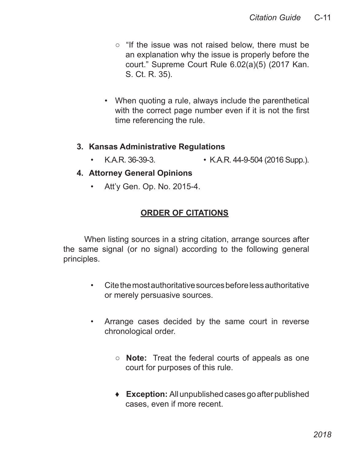- "If the issue was not raised below, there must be an explanation why the issue is properly before the court." Supreme Court Rule 6.02(a)(5) (2017 Kan. S. Ct. R. 35).
- When quoting a rule, always include the parenthetical with the correct page number even if it is not the first time referencing the rule.

#### **3. Kansas Administrative Regulations**

• K.A.R. 36-39-3. • K.A.R. 44-9-504 (2016 Supp.).

#### **4. Attorney General Opinions**

• Att'y Gen. Op. No. 2015-4.

## **ORDER OF CITATIONS**

When listing sources in a string citation, arrange sources after the same signal (or no signal) according to the following general principles.

- Cite the most authoritative sources before less authoritative or merely persuasive sources.
- Arrange cases decided by the same court in reverse chronological order.
	- **Note:** Treat the federal courts of appeals as one court for purposes of this rule.
	- **Exception:** All unpublished cases go after published ♦cases, even if more recent.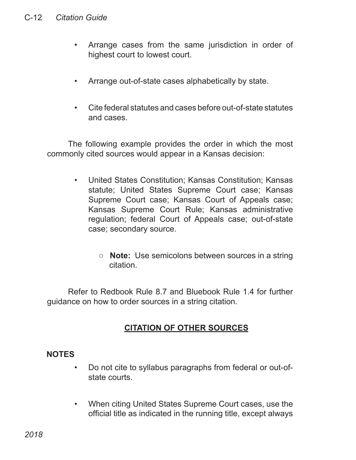- Arrange cases from the same jurisdiction in order of highest court to lowest court.
- Arrange out-of-state cases alphabetically by state.
- Cite federal statutes and cases before out-of-state statutes and cases.

The following example provides the order in which the most commonly cited sources would appear in a Kansas decision:

- United States Constitution; Kansas Constitution; Kansas statute; United States Supreme Court case; Kansas Supreme Court case; Kansas Court of Appeals case; Kansas Supreme Court Rule; Kansas administrative regulation; federal Court of Appeals case; out-of-state case; secondary source.
	- **Note:** Use semicolons between sources in a string citation.

Refer to Redbook Rule 8.7 and Bluebook Rule 1.4 for further guidance on how to order sources in a string citation.

## **CITATION OF OTHER SOURCES**

#### **NOTES**

- Do not cite to syllabus paragraphs from federal or out-ofstate courts.
- When citing United States Supreme Court cases, use the official title as indicated in the running title, except always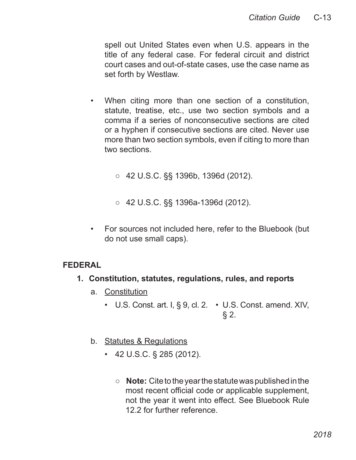spell out United States even when U.S. appears in the title of any federal case. For federal circuit and district court cases and out-of-state cases, use the case name as set forth by Westlaw.

- When citing more than one section of a constitution, statute, treatise, etc., use two section symbols and a comma if a series of nonconsecutive sections are cited or a hyphen if consecutive sections are cited. Never use more than two section symbols, even if citing to more than two sections.
	- 42 U.S.C. §§ 1396b, 1396d (2012).
	- 42 U.S.C. §§ 1396a-1396d (2012). ○
- For sources not included here, refer to the Bluebook (but do not use small caps).

#### **FEDERAL**

- **1. Constitution, statutes, regulations, rules, and reports**
	- a. Constitution
		- U.S. Const. art. I, § 9, cl. 2. U.S. Const. amend. XIV,  $§$  2.
	- b. Statutes & Regulations
		- 42 U.S.C. § 285 (2012).
			- **Note:** Cite to the year the statute was published in the most recent official code or applicable supplement, not the year it went into effect. See Bluebook Rule 12.2 for further reference.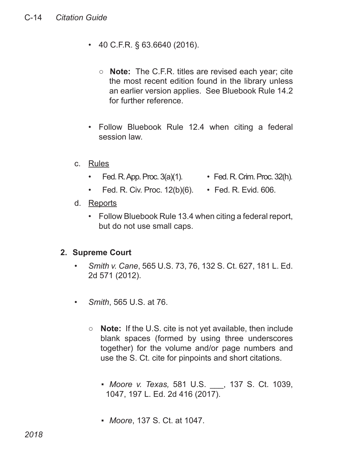- 40 C.F.R. § 63.6640 (2016).
	- **Note:** The C.F.R. titles are revised each year; cite the most recent edition found in the library unless an earlier version applies. See Bluebook Rule 14.2 for further reference.
- Follow Bluebook Rule 12.4 when citing a federal session law.
- c. Rules
	- Fed. R. App. Proc.  $3(a)(1)$ . Fed. R. Crim. Proc.  $32(h)$ .
		-
	- Fed. R. Civ. Proc. 12(b)(6). Fed. R. Evid. 606.
- d. Reports
	- Follow Bluebook Rule 13.4 when citing a federal report, but do not use small caps.

#### **2. Supreme Court**

- *Smith v. Cane*, 565 U.S. 73, 76, 132 S. Ct. 627, 181 L. Ed. 2d 571 (2012).
- *Smith*, 565 U.S. at 76.
	- **Note:** If the U.S. cite is not yet available, then include blank spaces (formed by using three underscores together) for the volume and/or page numbers and use the S. Ct. cite for pinpoints and short citations.
		- *Moore v. Texas,* 581 U.S. \_\_\_, 137 S. Ct. 1039, 1047, 197 L. Ed. 2d 416 (2017).
		- *Moore*, 137 S. Ct. at 1047.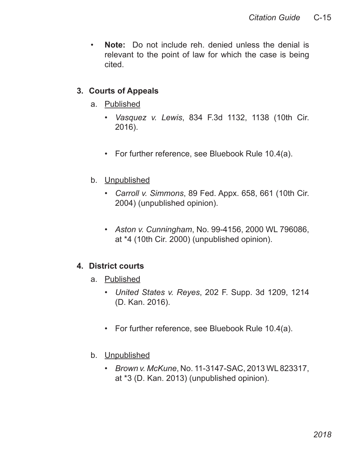• **Note:** Do not include reh. denied unless the denial is relevant to the point of law for which the case is being cited.

#### **3. Courts of Appeals**

- a. Published
	- *Vasquez v. Lewis*, 834 F.3d 1132, 1138 (10th Cir. 2016).
	- For further reference, see Bluebook Rule 10.4(a).
- b. Unpublished
	- *Carroll v. Simmons*, 89 Fed. Appx. 658, 661 (10th Cir. 2004) (unpublished opinion).
	- *Aston v. Cunningham*, No. 99-4156, 2000 WL 796086, at \*4 (10th Cir. 2000) (unpublished opinion).

#### **4. District courts**

- a. Published
	- *United States v. Reyes*, 202 F. Supp. 3d 1209, 1214 (D. Kan. 2016).
	- For further reference, see Bluebook Rule 10.4(a).
- b. Unpublished
	- *Brown v. McKune*, No. 11-3147-SAC, 2013 WL 823317, at \*3 (D. Kan. 2013) (unpublished opinion).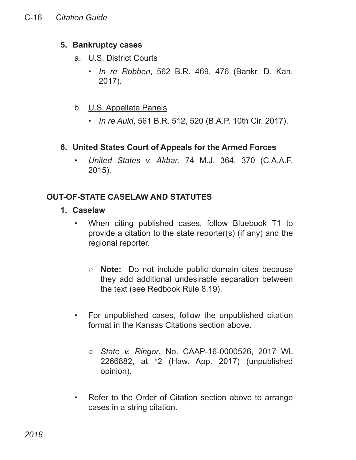#### **5. Bankruptcy cases**

- a. U.S. District Courts
	- *In re Robben*, 562 B.R. 469, 476 (Bankr. D. Kan. 2017).
- b. U.S. Appellate Panels
	- *In re Auld*, 561 B.R. 512, 520 (B.A.P. 10th Cir. 2017).

#### **6. United States Court of Appeals for the Armed Forces**

• *United States v. Akbar*, 74 M.J. 364, 370 (C.A.A.F. 2015).

## **OUT-OF-STATE CASELAW AND STATUTES**

- **1. Caselaw**
	- When citing published cases, follow Bluebook T1 to provide a citation to the state reporter(s) (if any) and the regional reporter.
		- **Note:** Do not include public domain cites because they add additional undesirable separation between the text (see Redbook Rule 8.19).
	- For unpublished cases, follow the unpublished citation format in the Kansas Citations section above.
		- State *v. Ringor*, No. CAAP-16-0000526, 2017 WL 2266882, at \*2 (Haw. App. 2017) (unpublished opinion).
	- Refer to the Order of Citation section above to arrange cases in a string citation.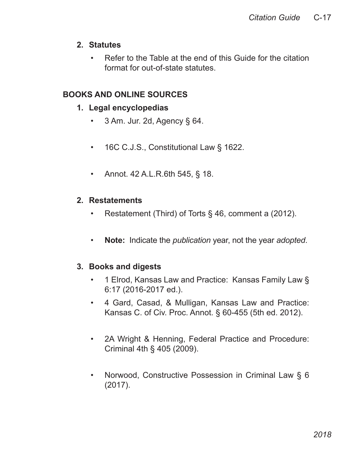#### **2. Statutes**

• Refer to the Table at the end of this Guide for the citation format for out-of-state statutes.

## **BOOKS AND ONLINE SOURCES**

- **1. Legal encyclopedias** 
	- $\cdot$  3 Am. Jur. 2d, Agency § 64.
	- 16C C.J.S., Constitutional Law § 1622.
	- Annot. 42 A.L.R.6th 545, § 18.

## **2. Restatements**

- Restatement (Third) of Torts § 46, comment a (2012).
- **Note:** Indicate the *publication* year, not the year *adopted*.

#### **3. Books and digests**

- 1 Elrod, Kansas Law and Practice: Kansas Family Law § 6:17 (2016-2017 ed.).
- 4 Gard, Casad, & Mulligan, Kansas Law and Practice: Kansas C. of Civ. Proc. Annot. § 60-455 (5th ed. 2012).
- 2A Wright & Henning, Federal Practice and Procedure: Criminal 4th § 405 (2009).
- Norwood, Constructive Possession in Criminal Law § 6 (2017).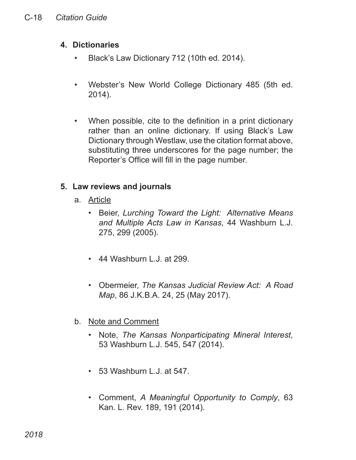#### **4. Dictionaries**

- Black's Law Dictionary 712 (10th ed. 2014).
- Webster's New World College Dictionary 485 (5th ed. 2014).
- When possible, cite to the definition in a print dictionary rather than an online dictionary. If using Black's Law Dictionary through Westlaw, use the citation format above, substituting three underscores for the page number; the Reporter's Office will fill in the page number.

## **5. Law reviews and journals**

- a. Article
	- Beier, *Lurching Toward the Light: Alternative Means and Multiple Acts Law in Kansas*, 44 Washburn L.J. 275, 299 (2005).
	- 44 Washburn L.J. at 299.
	- Obermeier, *The Kansas Judicial Review Act: A Road Map*, 86 J.K.B.A. 24, 25 (May 2017).
- b. Note and Comment
	- Note, *The Kansas Nonparticipating Mineral Interest*, 53 Washburn L.J. 545, 547 (2014).
	- 53 Washburn L.J. at 547.
	- Comment, *A Meaningful Opportunity to Comply*, 63 Kan. L. Rev. 189, 191 (2014).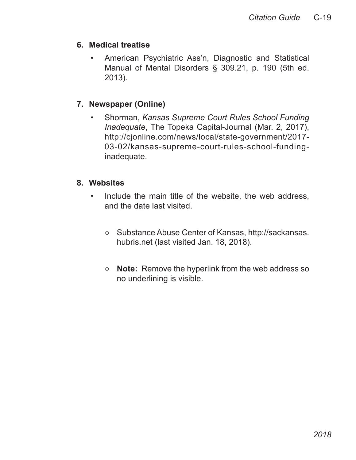#### **6. Medical treatise**

• American Psychiatric Ass'n, Diagnostic and Statistical Manual of Mental Disorders § 309.21, p. 190 (5th ed. 2013).

#### **7. Newspaper (Online)**

• Shorman, *Kansas Supreme Court Rules School Funding Inadequate*, The Topeka Capital-Journal (Mar. 2, 2017), http://cjonline.com/news/local/state-government/2017- 03-02/kansas-supreme-court-rules-school-fundinginadequate.

#### **8. Websites**

- Include the main title of the website, the web address, and the date last visited.
	- Substance Abuse Center of Kansas, http://sackansas. hubris.net (last visited Jan. 18, 2018).
	- **Note:** Remove the hyperlink from the web address so no underlining is visible.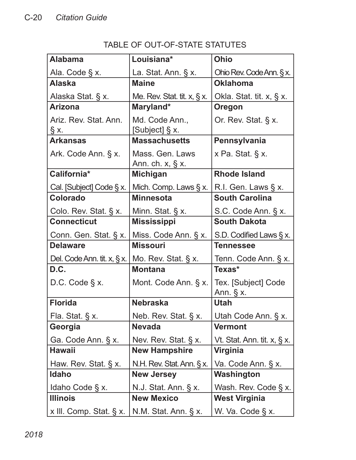| טשוטורטובי של האוני-וטי וט      |                                         |                                    |
|---------------------------------|-----------------------------------------|------------------------------------|
| <b>Alabama</b>                  | Louisiana*                              | <b>Ohio</b>                        |
| Ala. Code § x.                  | La. Stat. Ann. § x.                     | Ohio Rev. Code Ann. § x.           |
| <b>Alaska</b>                   | <b>Maine</b>                            | <b>Oklahoma</b>                    |
| Alaska Stat. § x.               | Me. Rev. Stat. tit. $x, \S x$ .         | Okla. Stat. tit. x, § x.           |
| <b>Arizona</b>                  | Maryland*                               | Oregon                             |
| Ariz. Rev. Stat. Ann.<br>§x.    | Md. Code Ann.,<br>[Subject] § x.        | Or. Rev. Stat. § x.                |
| <b>Arkansas</b>                 | <b>Massachusetts</b>                    | Pennsylvania                       |
| Ark. Code Ann. § x.             | Mass. Gen. Laws<br>Ann. ch. $x, \S x$ . | x Pa. Stat. § x.                   |
| California*                     | <b>Michigan</b>                         | <b>Rhode Island</b>                |
| Cal. [Subject] Code § x.        | Mich. Comp. Laws § x.                   | R.I. Gen. Laws § x.                |
| <b>Colorado</b>                 | <b>Minnesota</b>                        | <b>South Carolina</b>              |
| Colo. Rev. Stat. § x.           | Minn. Stat. § x.                        | S.C. Code Ann. § x.                |
| <b>Connecticut</b>              | <b>Mississippi</b>                      | <b>South Dakota</b>                |
| Conn. Gen. Stat. § x.           | Miss. Code Ann. § x.                    | S.D. Codified Laws § x.            |
| <b>Delaware</b>                 | <b>Missouri</b>                         | <b>Tennessee</b>                   |
| Del. Code Ann. tit. $x, \S x$ . | Mo. Rev. Stat. § x.                     | Tenn. Code Ann. § x.               |
| D.C.                            | <b>Montana</b>                          | Texas*                             |
| D.C. Code § x.                  | Mont. Code Ann. § x.                    | Tex. [Subject] Code<br>Ann. $§$ x. |
| <b>Florida</b>                  | <b>Nebraska</b>                         | <b>Utah</b>                        |
| Fla. Stat. § x.                 | Neb. Rev. Stat. § x.                    | Utah Code Ann. § x.                |
| Georgia                         | <b>Nevada</b>                           | <b>Vermont</b>                     |
| Ga. Code Ann. § x.              | Nev. Rev. Stat. § x.                    | Vt. Stat. Ann. tit. $x, \S x$ .    |
| <b>Hawaii</b>                   | <b>New Hampshire</b>                    | <b>Virginia</b>                    |
| Haw. Rev. Stat. § x.            | N.H. Rev. Stat. Ann. § x.               | Va. Code Ann. § x.                 |
| <b>Idaho</b>                    | <b>New Jersey</b>                       | Washington                         |
| Idaho Code § x.                 | N.J. Stat. Ann. § x.                    | Wash. Rev. Code § x.               |
| <b>Illinois</b>                 | <b>New Mexico</b>                       | <b>West Virginia</b>               |

x III. Comp. Stat. § x. | N.M. Stat. Ann. § x. | W. Va. Code § x.

## TABLE OF OUT-OF-STATE STATUTES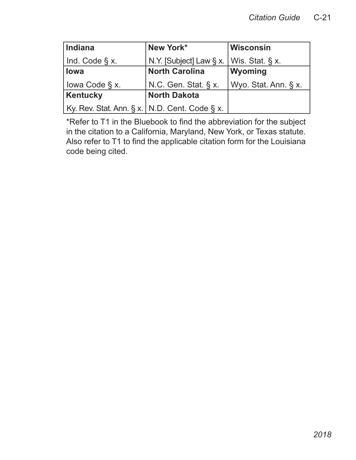| <b>Indiana</b>                                  | New York*                                         | <b>Wisconsin</b>     |
|-------------------------------------------------|---------------------------------------------------|----------------------|
| $ $ Ind. Code $\S$ x.                           | N.Y. [Subject] Law $\S x$ .   Wis. Stat. $\S x$ . |                      |
| lowa                                            | <b>North Carolina</b>                             | Wyoming              |
| lowa Code § x.                                  | N.C. Gen. Stat. § x.                              | Wyo. Stat. Ann. § x. |
| Kentucky                                        | <b>North Dakota</b>                               |                      |
| Ky. Rev. Stat. Ann. § x.   N.D. Cent. Code § x. |                                                   |                      |

\*Refer to T1 in the Bluebook to find the abbreviation for the subject in the citation to a California, Maryland, New York, or Texas statute. Also refer to T1 to find the applicable citation form for the Louisiana code being cited.